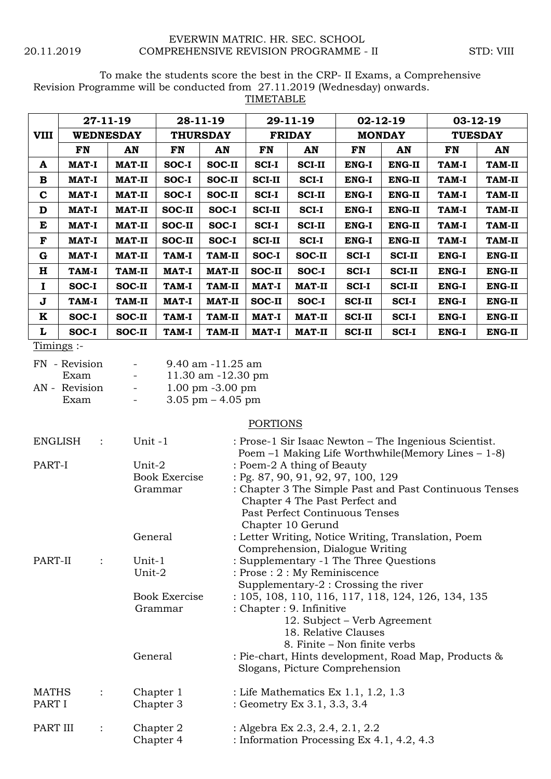## EVERWIN MATRIC. HR. SEC. SCHOOL 20.11.2019 COMPREHENSIVE REVISION PROGRAMME - II STD: VIII

To make the students score the best in the CRP- II Exams, a Comprehensive Revision Programme will be conducted from 27.11.2019 (Wednesday) onwards.

TIMETABLE

|              | $27-11-19$ |               | 28-11-19        |               | $29-11-19$    |               | $02 - 12 - 19$ |               | 03-12-19       |               |
|--------------|------------|---------------|-----------------|---------------|---------------|---------------|----------------|---------------|----------------|---------------|
| <b>VIII</b>  | WEDNESDAY  |               | <b>THURSDAY</b> |               | <b>FRIDAY</b> |               | <b>MONDAY</b>  |               | <b>TUESDAY</b> |               |
|              | FN         | AN            | FN              | AN            | FN            | AN            | FN             | AN            | <b>FN</b>      | AN            |
| A            | MAT-I      | MAT-II        | SOC-I           | SOC-II        | <b>SCI-I</b>  | <b>SCI-II</b> | ENG-I          | <b>ENG-II</b> | TAM-I          | TAM-II        |
| В            | MAT-I      | MAT-II        | SOC-I           | SOC-II        | <b>SCI-II</b> | <b>SCI-I</b>  | ENG-I          | ENG-II        | TAM-I          | TAM-II        |
| $\mathbf c$  | MAT-I      | <b>MAT-II</b> | SOC-I           | SOC-II        | <b>SCI-I</b>  | <b>SCI-II</b> | ENG-I          | ENG-II        | TAM-I          | TAM-II        |
| D            | MAT-I      | <b>MAT-II</b> | SOC-II          | SOC-I         | <b>SCI-II</b> | <b>SCI-I</b>  | <b>ENG-I</b>   | <b>ENG-II</b> | TAM-I          | <b>TAM-II</b> |
| E            | MAT-I      | <b>MAT-II</b> | SOC-II          | SOC-I         | <b>SCI-I</b>  | <b>SCI-II</b> | ENG-I          | ENG-II        | TAM-I          | <b>TAM-II</b> |
| F            | MAT-I      | <b>MAT-II</b> | SOC-II          | SOC-I         | <b>SCI-II</b> | <b>SCI-I</b>  | ENG-I          | ENG-II        | TAM-I          | TAM-II        |
| G            | MAT-I      | <b>MAT-II</b> | TAM-I           | <b>TAM-II</b> | SOC-I         | SOC-II        | <b>SCI-I</b>   | <b>SCI-II</b> | <b>ENG-I</b>   | <b>ENG-II</b> |
| н            | TAM-I      | <b>TAM-II</b> | <b>MAT-I</b>    | <b>MAT-II</b> | SOC-II        | SOC-I         | <b>SCI-I</b>   | <b>SCI-II</b> | <b>ENG-I</b>   | ENG-II        |
| 1            | SOC-I      | SOC-II        | <b>TAM-I</b>    | <b>TAM-II</b> | MAT-I         | <b>MAT-II</b> | <b>SCI-I</b>   | <b>SCI-II</b> | ENG-I          | <b>ENG-II</b> |
| J            | TAM-I      | <b>TAM-II</b> | MAT-I           | <b>MAT-II</b> | SOC-II        | SOC-I         | <b>SCI-II</b>  | <b>SCI-I</b>  | <b>ENG-I</b>   | <b>ENG-II</b> |
| K            | SOC-I      | SOC-II        | TAM-I           | <b>TAM-II</b> | <b>MAT-I</b>  | <b>MAT-II</b> | <b>SCI-II</b>  | <b>SCI-I</b>  | <b>ENG-I</b>   | <b>ENG-II</b> |
| L            | SOC-I      | SOC-II        | TAM-I           | <b>TAM-II</b> | MAT-I         | <b>MAT-II</b> | <b>SCI-II</b>  | <b>SCI-I</b>  | <b>ENG-I</b>   | <b>ENG-II</b> |
| $T$ imings:- |            |               |                 |               |               |               |                |               |                |               |

| Timing |  |
|--------|--|
|--------|--|

| $\overline{\phantom{0}}$ | 9.40 am -11.25 am                   |
|--------------------------|-------------------------------------|
| $\overline{\phantom{a}}$ | 11.30 am -12.30 pm                  |
| $\overline{\phantom{a}}$ | $1.00 \text{ pm } -3.00 \text{ pm}$ |
| $\overline{\phantom{0}}$ | $3.05$ pm $-4.05$ pm                |
|                          |                                     |

## **PORTIONS**

| <b>ENGLISH</b> |                | Unit-1               | : Prose-1 Sir Isaac Newton – The Ingenious Scientist.<br>Poem $-1$ Making Life Worthwhile (Memory Lines $-1-8$ ) |
|----------------|----------------|----------------------|------------------------------------------------------------------------------------------------------------------|
| PART-I         |                | Unit-2               | : Poem-2 A thing of Beauty                                                                                       |
|                |                | <b>Book Exercise</b> | : Pg. 87, 90, 91, 92, 97, 100, 129                                                                               |
|                |                | Grammar              | : Chapter 3 The Simple Past and Past Continuous Tenses                                                           |
|                |                |                      | Chapter 4 The Past Perfect and                                                                                   |
|                |                |                      | Past Perfect Continuous Tenses                                                                                   |
|                |                |                      | Chapter 10 Gerund                                                                                                |
|                |                | General              | : Letter Writing, Notice Writing, Translation, Poem                                                              |
|                |                |                      | Comprehension, Dialogue Writing                                                                                  |
| PART-II        |                | Unit-1               | : Supplementary -1 The Three Questions                                                                           |
|                |                | Unit-2               | : Prose : 2 : My Reminiscence                                                                                    |
|                |                |                      | Supplementary-2 : Crossing the river                                                                             |
|                |                | <b>Book Exercise</b> | : 105, 108, 110, 116, 117, 118, 124, 126, 134, 135                                                               |
|                |                | Grammar              | : Chapter : 9. Infinitive                                                                                        |
|                |                |                      | 12. Subject – Verb Agreement                                                                                     |
|                |                |                      | 18. Relative Clauses                                                                                             |
|                |                |                      | 8. Finite – Non finite verbs                                                                                     |
|                |                | General              | : Pie-chart, Hints development, Road Map, Products &                                                             |
|                |                |                      | Slogans, Picture Comprehension                                                                                   |
| <b>MATHS</b>   | $\ddot{\cdot}$ | Chapter 1            | : Life Mathematics Ex 1.1, 1.2, 1.3                                                                              |
| PART I         |                | Chapter 3            | : Geometry Ex 3.1, 3.3, 3.4                                                                                      |
|                |                |                      |                                                                                                                  |
| PART III       |                | Chapter 2            | : Algebra Ex 2.3, 2.4, 2.1, 2.2                                                                                  |
|                |                | Chapter 4            | : Information Processing Ex 4.1, 4.2, 4.3                                                                        |